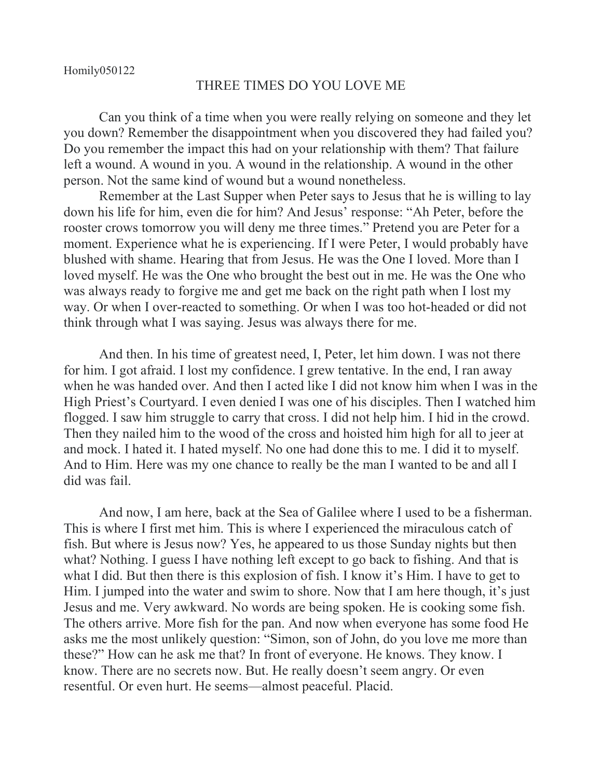## THREE TIMES DO YOU LOVE ME

Can you think of a time when you were really relying on someone and they let you down? Remember the disappointment when you discovered they had failed you? Do you remember the impact this had on your relationship with them? That failure left a wound. A wound in you. A wound in the relationship. A wound in the other person. Not the same kind of wound but a wound nonetheless.

Remember at the Last Supper when Peter says to Jesus that he is willing to lay down his life for him, even die for him? And Jesus' response: "Ah Peter, before the rooster crows tomorrow you will deny me three times." Pretend you are Peter for a moment. Experience what he is experiencing. If I were Peter, I would probably have blushed with shame. Hearing that from Jesus. He was the One I loved. More than I loved myself. He was the One who brought the best out in me. He was the One who was always ready to forgive me and get me back on the right path when I lost my way. Or when I over-reacted to something. Or when I was too hot-headed or did not think through what I was saying. Jesus was always there for me.

And then. In his time of greatest need, I, Peter, let him down. I was not there for him. I got afraid. I lost my confidence. I grew tentative. In the end, I ran away when he was handed over. And then I acted like I did not know him when I was in the High Priest's Courtyard. I even denied I was one of his disciples. Then I watched him flogged. I saw him struggle to carry that cross. I did not help him. I hid in the crowd. Then they nailed him to the wood of the cross and hoisted him high for all to jeer at and mock. I hated it. I hated myself. No one had done this to me. I did it to myself. And to Him. Here was my one chance to really be the man I wanted to be and all I did was fail.

And now, I am here, back at the Sea of Galilee where I used to be a fisherman. This is where I first met him. This is where I experienced the miraculous catch of fish. But where is Jesus now? Yes, he appeared to us those Sunday nights but then what? Nothing. I guess I have nothing left except to go back to fishing. And that is what I did. But then there is this explosion of fish. I know it's Him. I have to get to Him. I jumped into the water and swim to shore. Now that I am here though, it's just Jesus and me. Very awkward. No words are being spoken. He is cooking some fish. The others arrive. More fish for the pan. And now when everyone has some food He asks me the most unlikely question: "Simon, son of John, do you love me more than these?" How can he ask me that? In front of everyone. He knows. They know. I know. There are no secrets now. But. He really doesn't seem angry. Or even resentful. Or even hurt. He seems—almost peaceful. Placid.